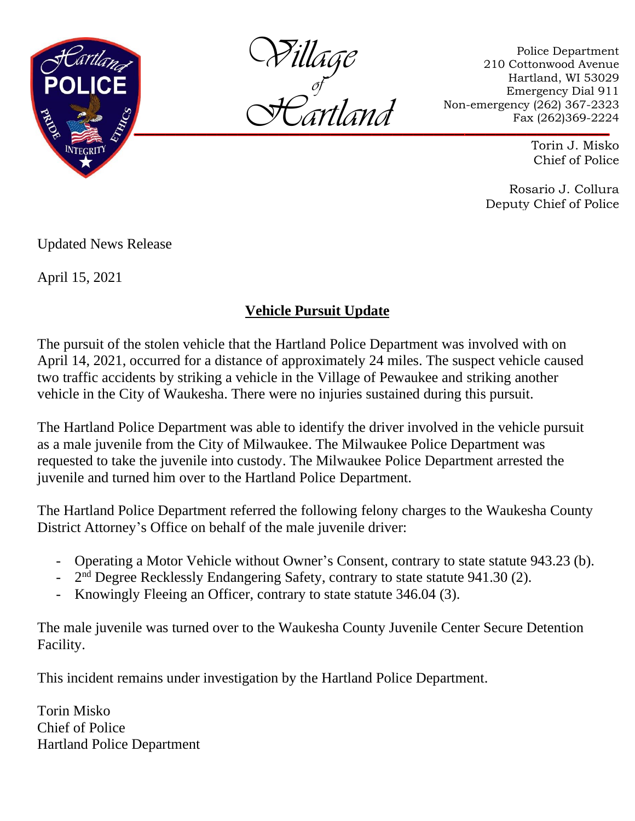

*Village Hartland of*

Police Department 210 Cottonwood Avenue Hartland, WI 53029 Emergency Dial 911 Non-emergency (262) 367-2323 Fax (262)369-2224

> Torin J. Misko Chief of Police

Rosario J. Collura Deputy Chief of Police

Updated News Release

April 15, 2021

## **Vehicle Pursuit Update**

The pursuit of the stolen vehicle that the Hartland Police Department was involved with on April 14, 2021, occurred for a distance of approximately 24 miles. The suspect vehicle caused two traffic accidents by striking a vehicle in the Village of Pewaukee and striking another vehicle in the City of Waukesha. There were no injuries sustained during this pursuit.

The Hartland Police Department was able to identify the driver involved in the vehicle pursuit as a male juvenile from the City of Milwaukee. The Milwaukee Police Department was requested to take the juvenile into custody. The Milwaukee Police Department arrested the juvenile and turned him over to the Hartland Police Department.

The Hartland Police Department referred the following felony charges to the Waukesha County District Attorney's Office on behalf of the male juvenile driver:

- Operating a Motor Vehicle without Owner's Consent, contrary to state statute 943.23 (b).
- $2<sup>nd</sup>$  Degree Recklessly Endangering Safety, contrary to state statute 941.30 (2).
- Knowingly Fleeing an Officer, contrary to state statute 346.04 (3).

The male juvenile was turned over to the Waukesha County Juvenile Center Secure Detention Facility.

This incident remains under investigation by the Hartland Police Department.

Torin Misko Chief of Police Hartland Police Department